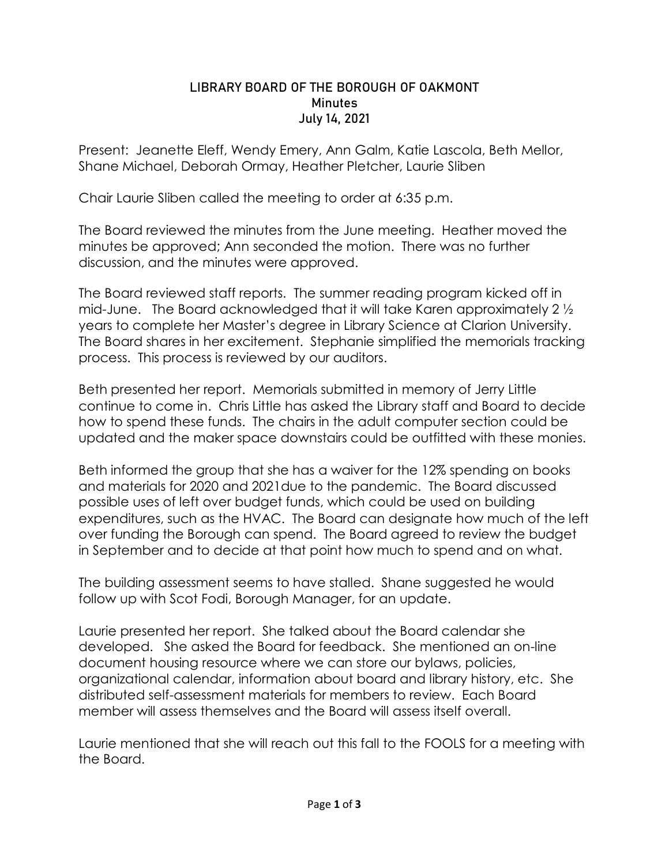## LIBRARY BOARD OF THE BOROUGH OF OAKMONT **Minutes** July 14, 2021

Present: Jeanette Eleff, Wendy Emery, Ann Galm, Katie Lascola, Beth Mellor, Shane Michael, Deborah Ormay, Heather Pletcher, Laurie Sliben

Chair Laurie Sliben called the meeting to order at 6:35 p.m.

The Board reviewed the minutes from the June meeting. Heather moved the minutes be approved; Ann seconded the motion. There was no further discussion, and the minutes were approved.

The Board reviewed staff reports. The summer reading program kicked off in mid-June. The Board acknowledged that it will take Karen approximately 2 ½ years to complete her Master's degree in Library Science at Clarion University. The Board shares in her excitement. Stephanie simplified the memorials tracking process. This process is reviewed by our auditors.

Beth presented her report. Memorials submitted in memory of Jerry Little continue to come in. Chris Little has asked the Library staff and Board to decide how to spend these funds. The chairs in the adult computer section could be updated and the maker space downstairs could be outfitted with these monies.

Beth informed the group that she has a waiver for the 12% spending on books and materials for 2020 and 2021due to the pandemic. The Board discussed possible uses of left over budget funds, which could be used on building expenditures, such as the HVAC. The Board can designate how much of the left over funding the Borough can spend. The Board agreed to review the budget in September and to decide at that point how much to spend and on what.

The building assessment seems to have stalled. Shane suggested he would follow up with Scot Fodi, Borough Manager, for an update.

Laurie presented her report. She talked about the Board calendar she developed. She asked the Board for feedback. She mentioned an on-line document housing resource where we can store our bylaws, policies, organizational calendar, information about board and library history, etc. She distributed self-assessment materials for members to review. Each Board member will assess themselves and the Board will assess itself overall.

Laurie mentioned that she will reach out this fall to the FOOLS for a meeting with the Board.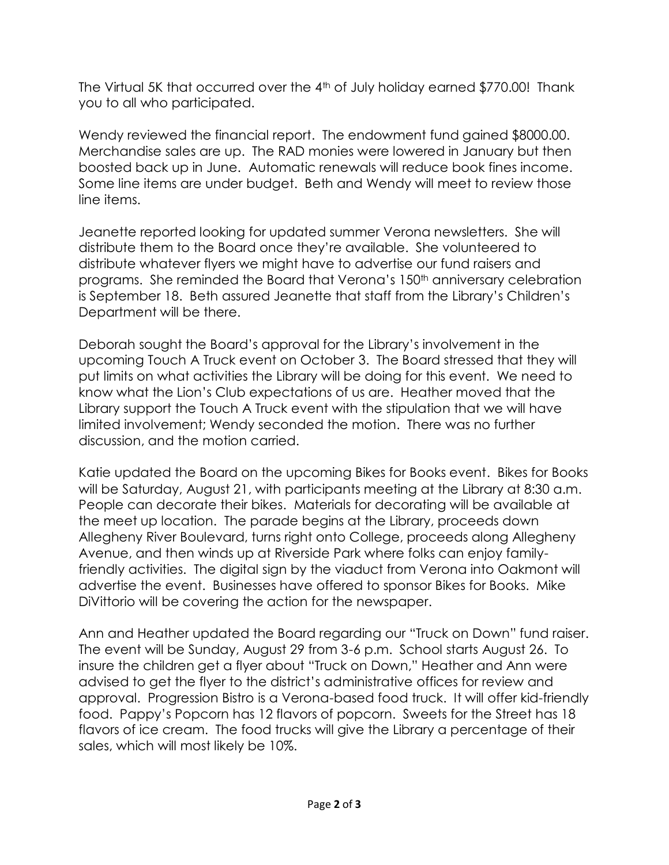The Virtual 5K that occurred over the  $4<sup>th</sup>$  of July holiday earned \$770.00! Thank you to all who participated.

Wendy reviewed the financial report. The endowment fund gained \$8000.00. Merchandise sales are up. The RAD monies were lowered in January but then boosted back up in June. Automatic renewals will reduce book fines income. Some line items are under budget. Beth and Wendy will meet to review those line items.

Jeanette reported looking for updated summer Verona newsletters. She will distribute them to the Board once they're available. She volunteered to distribute whatever flyers we might have to advertise our fund raisers and programs. She reminded the Board that Verona's 150<sup>th</sup> anniversary celebration is September 18. Beth assured Jeanette that staff from the Library's Children's Department will be there.

Deborah sought the Board's approval for the Library's involvement in the upcoming Touch A Truck event on October 3. The Board stressed that they will put limits on what activities the Library will be doing for this event. We need to know what the Lion's Club expectations of us are. Heather moved that the Library support the Touch A Truck event with the stipulation that we will have limited involvement; Wendy seconded the motion. There was no further discussion, and the motion carried.

Katie updated the Board on the upcoming Bikes for Books event. Bikes for Books will be Saturday, August 21, with participants meeting at the Library at 8:30 a.m. People can decorate their bikes. Materials for decorating will be available at the meet up location. The parade begins at the Library, proceeds down Allegheny River Boulevard, turns right onto College, proceeds along Allegheny Avenue, and then winds up at Riverside Park where folks can enjoy familyfriendly activities. The digital sign by the viaduct from Verona into Oakmont will advertise the event. Businesses have offered to sponsor Bikes for Books. Mike DiVittorio will be covering the action for the newspaper.

Ann and Heather updated the Board regarding our "Truck on Down" fund raiser. The event will be Sunday, August 29 from 3-6 p.m. School starts August 26. To insure the children get a flyer about "Truck on Down," Heather and Ann were advised to get the flyer to the district's administrative offices for review and approval. Progression Bistro is a Verona-based food truck. It will offer kid-friendly food. Pappy's Popcorn has 12 flavors of popcorn. Sweets for the Street has 18 flavors of ice cream. The food trucks will give the Library a percentage of their sales, which will most likely be 10%.